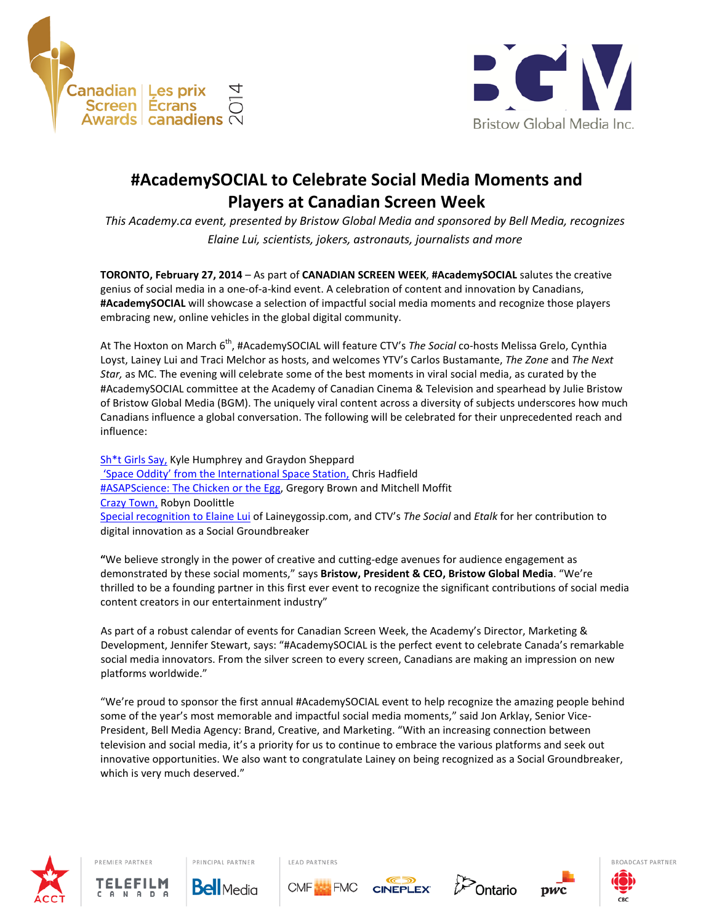



# **#AcademySOCIAL to Celebrate Social Media Moments and Players at Canadian Screen Week**

*This Academy.ca event, presented by Bristow Global Media and sponsored by Bell Media, recognizes Elaine Lui, scientists, jokers, astronauts, journalists and more*

**TORONTO, February 27, 2014** – As part of **CANADIAN SCREEN WEEK**, **#AcademySOCIAL** salutes the creative genius of social media in a one-of-a-kind event. A celebration of content and innovation by Canadians, **#AcademySOCIAL** will showcase a selection of impactful social media moments and recognize those players embracing new, online vehicles in the global digital community.

At The Hoxton on March 6<sup>th</sup>, #AcademySOCIAL will feature CTV's The Social co-hosts Melissa Grelo, Cynthia Loyst, Lainey Lui and Traci Melchor as hosts, and welcomes YTV's Carlos Bustamante, *The Zone* and *The Next Star,* as MC. The evening will celebrate some of the best moments in viral social media, as curated by the #AcademySOCIAL committee at the Academy of Canadian Cinema & Television and spearhead by Julie Bristow of Bristow Global Media (BGM). The uniquely viral content across a diversity of subjects underscores how much Canadians influence a global conversation. The following will be celebrated for their unprecedented reach and influence:

Sh<sup>\*</sup>t Girls Say, Kyle Humphrey and Graydon Sheppard 'Space Oddity' from the International Space Station, Chris Hadfield #ASAPScience: The Chicken or the Egg, Gregory Brown and Mitchell Moffit Crazy Town, Robyn Doolittle Special recognition to Elaine Lui of Laineygossip.com, and CTV's *The Social* and *Etalk* for her contribution to digital innovation as a Social Groundbreaker

**"**We believe strongly in the power of creative and cutting-edge avenues for audience engagement as demonstrated by these social moments," says **Bristow, President & CEO, Bristow Global Media**. "We're thrilled to be a founding partner in this first ever event to recognize the significant contributions of social media content creators in our entertainment industry"

As part of a robust calendar of events for Canadian Screen Week, the Academy's Director, Marketing & Development, Jennifer Stewart, says: "#AcademySOCIAL is the perfect event to celebrate Canada's remarkable social media innovators. From the silver screen to every screen, Canadians are making an impression on new platforms worldwide."

"We're proud to sponsor the first annual #AcademySOCIAL event to help recognize the amazing people behind some of the year's most memorable and impactful social media moments," said Jon Arklay, Senior Vice-President, Bell Media Agency: Brand, Creative, and Marketing. "With an increasing connection between television and social media, it's a priority for us to continue to embrace the various platforms and seek out innovative opportunities. We also want to congratulate Lainey on being recognized as a Social Groundbreaker, which is very much deserved."



PREMIER PARTNER TELEFIL



PRINCIPAL PARTNER



LEAD PARTNERS







BROADCAST PARTNER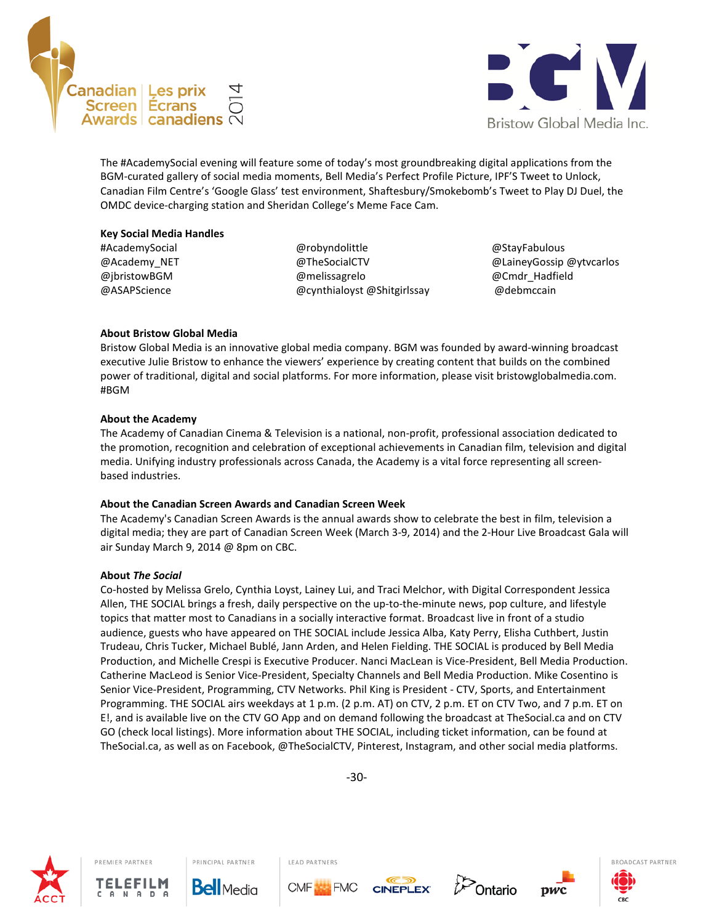



The #AcademySocial evening will feature some of today's most groundbreaking digital applications from the BGM-curated gallery of social media moments, Bell Media's Perfect Profile Picture, IPF'S Tweet to Unlock, Canadian Film Centre's 'Google Glass' test environment, Shaftesbury/Smokebomb's Tweet to Play DJ Duel, the OMDC device-charging station and Sheridan College's Meme Face Cam.

#### **Key Social Media Handles**

#AcademySocial @Academy\_NET @jbristowBGM @ASAPScience

@robyndolittle @TheSocialCTV @melissagrelo @cynthialoyst @Shitgirlssay

@StayFabulous @LaineyGossip @ytvcarlos @Cmdr\_Hadfield @debmccain

### **About Bristow Global Media**

Bristow Global Media is an innovative global media company. BGM was founded by award-winning broadcast executive Julie Bristow to enhance the viewers' experience by creating content that builds on the combined power of traditional, digital and social platforms. For more information, please visit bristowglobalmedia.com. #BGM

### **About the Academy**

The Academy of Canadian Cinema & Television is a national, non-profit, professional association dedicated to the promotion, recognition and celebration of exceptional achievements in Canadian film, television and digital media. Unifying industry professionals across Canada, the Academy is a vital force representing all screenbased industries.

### **About the Canadian Screen Awards and Canadian Screen Week**

PRINCIPAL PARTNER

**Bell** Media

The Academy's Canadian Screen Awards is the annual awards show to celebrate the best in film, television a digital media; they are part of Canadian Screen Week (March 3-9, 2014) and the 2-Hour Live Broadcast Gala will air Sunday March 9, 2014 @ 8pm on CBC.

### **About** *The Social*

Co-hosted by Melissa Grelo, Cynthia Loyst, Lainey Lui, and Traci Melchor, with Digital Correspondent Jessica Allen, THE SOCIAL brings a fresh, daily perspective on the up-to-the-minute news, pop culture, and lifestyle topics that matter most to Canadians in a socially interactive format. Broadcast live in front of a studio audience, guests who have appeared on THE SOCIAL include Jessica Alba, Katy Perry, Elisha Cuthbert, Justin Trudeau, Chris Tucker, Michael Bublé, Jann Arden, and Helen Fielding. THE SOCIAL is produced by Bell Media Production, and Michelle Crespi is Executive Producer. Nanci MacLean is Vice-President, Bell Media Production. Catherine MacLeod is Senior Vice-President, Specialty Channels and Bell Media Production. Mike Cosentino is Senior Vice-President, Programming, CTV Networks. Phil King is President - CTV, Sports, and Entertainment Programming. THE SOCIAL airs weekdays at 1 p.m. (2 p.m. AT) on CTV, 2 p.m. ET on CTV Two, and 7 p.m. ET on E!, and is available live on the CTV GO App and on demand following the broadcast at TheSocial.ca and on CTV GO (check local listings). More information about THE SOCIAL, including ticket information, can be found at TheSocial.ca, as well as on Facebook, @TheSocialCTV, Pinterest, Instagram, and other social media platforms.



PREMIER PARTNER

TELEFILM

-30-

**CINEPLEX** 

**Ontario** 

pwc

LEAD PARTNERS

**CMF**